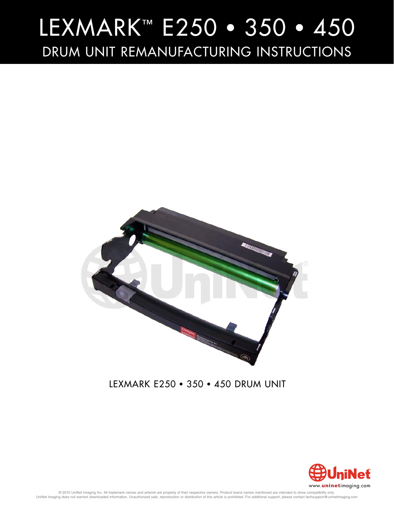

### LEXMARK E250 • 350 • 450 DRUM UNIT



© 2010 UniNet Imaging Inc. All trademark names and artwork are property of their respective owners. Product brand names mentioned are intended to show compatibility only.<br>UniNet Imaging does not warrant downloaded informat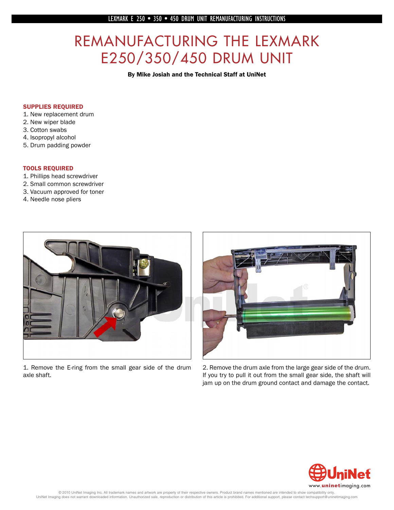# REMANUFACTURING THE LEXMARK<br>E250/350/450 DRUM UNIT

E250 OR AND UNITED STATES ON THE UNITED STATES OF A SUBSEMINITY OF A SUBSEMINITY OF A SUBSEMINITY OF A SUBSEMINITY OF A SUBSEMINITY OF A SUBSEMINITY OF A SUBSEMINITY OF A SUBSEMINITY OF A SUBSEMINITY OF A SUBSEMINITY OF A

#### SUPPLIES REQUIRED

- 1. New replacement drum
- 2. New wiper blade
- 3. Cotton swabs
- 4. Isopropyl alcohol
- 5. Drum padding powder

#### TOOLS REQUIRED

- 1. Phillips head screwdriver
- 2. Small common screwdriver
- 3. Vacuum approved for toner
- 4. Needle nose pliers



1. Remove the E-ring from the small gear side of the drum axle shaft.



2. Remove the drum axle from the large gear side of the drum. If you try to pull it out from the small gear side, the shaft will jam up on the drum ground contact and damage the contact.

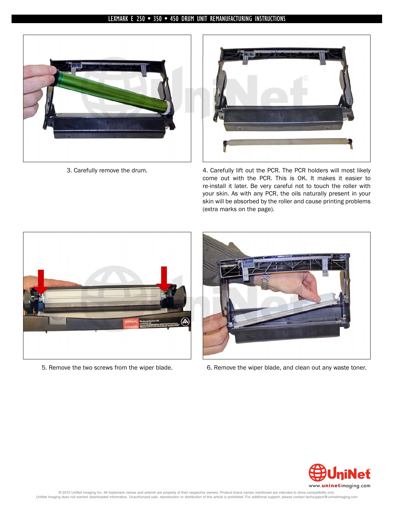



3. Carefully remove the drum. 4. Carefully lift out the PCR. The PCR holders will most likely come out with the PCR. This is OK. It makes it easier to re-install it later. Be very careful not to touch the roller with your skin. As with any PCR, the oils naturally present in your skin will be absorbed by the roller and cause printing problems (extra marks on the page).





5. Remove the two screws from the wiper blade. 6. Remove the wiper blade, and clean out any waste toner.

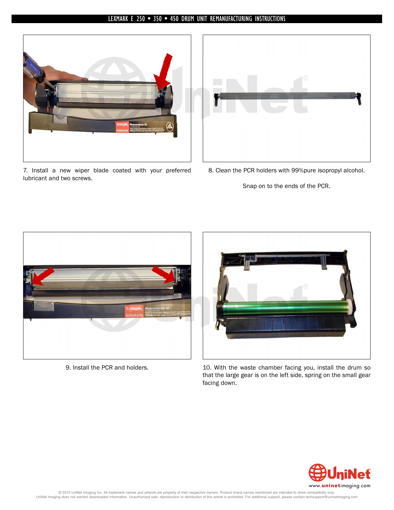

7. Install a new wiper blade coated with your preferred lubricant and two screws.



8. Clean the PCR holders with 99%pure isopropyl alcohol.

Snap on to the ends of the PCR.





9. Install the PCR and holders. 10. With the waste chamber facing you, install the drum so that the large gear is on the left side, spring on the small gear facing down.

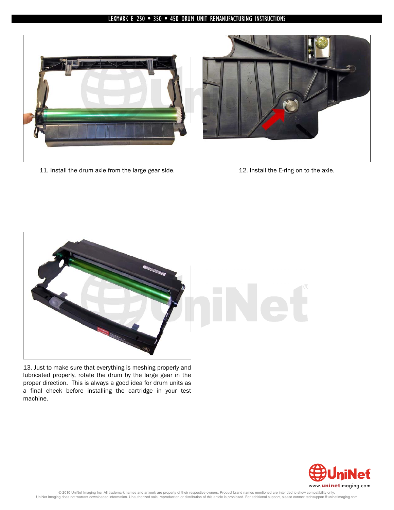

11. Install the drum axle from the large gear side. 12. Install the E-ring on to the axle.





13. Just to make sure that everything is meshing properly and lubricated properly, rotate the drum by the large gear in the proper direction. This is always a good idea for drum units as a final check before installing the cartridge in your test machine.